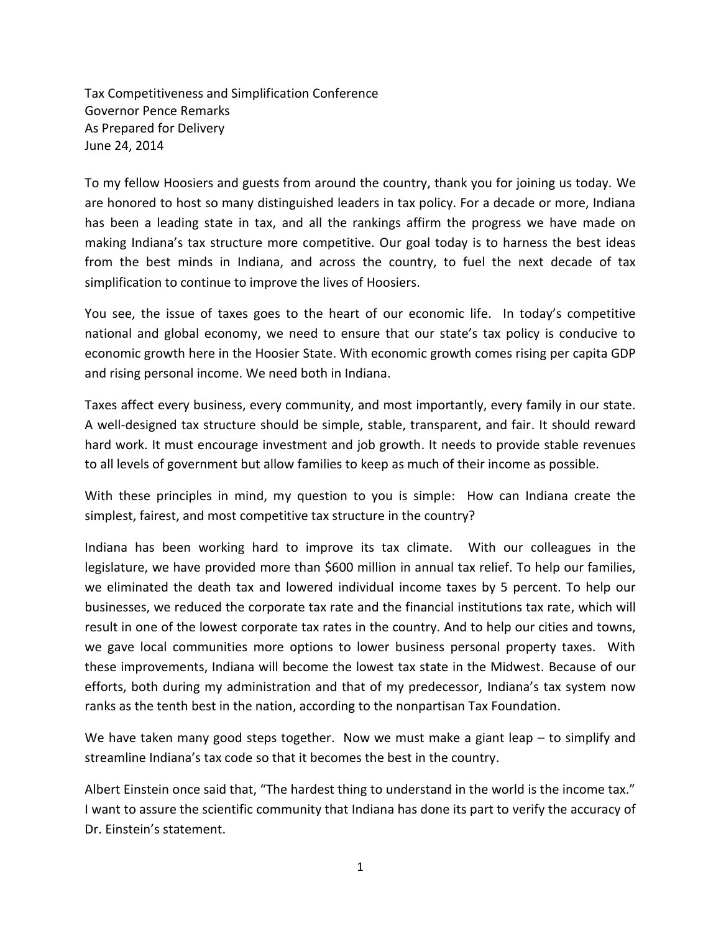Tax Competitiveness and Simplification Conference Governor Pence Remarks As Prepared for Delivery June 24, 2014

To my fellow Hoosiers and guests from around the country, thank you for joining us today. We are honored to host so many distinguished leaders in tax policy. For a decade or more, Indiana has been a leading state in tax, and all the rankings affirm the progress we have made on making Indiana's tax structure more competitive. Our goal today is to harness the best ideas from the best minds in Indiana, and across the country, to fuel the next decade of tax simplification to continue to improve the lives of Hoosiers.

You see, the issue of taxes goes to the heart of our economic life. In today's competitive national and global economy, we need to ensure that our state's tax policy is conducive to economic growth here in the Hoosier State. With economic growth comes rising per capita GDP and rising personal income. We need both in Indiana.

Taxes affect every business, every community, and most importantly, every family in our state. A well-designed tax structure should be simple, stable, transparent, and fair. It should reward hard work. It must encourage investment and job growth. It needs to provide stable revenues to all levels of government but allow families to keep as much of their income as possible.

With these principles in mind, my question to you is simple: How can Indiana create the simplest, fairest, and most competitive tax structure in the country?

Indiana has been working hard to improve its tax climate. With our colleagues in the legislature, we have provided more than \$600 million in annual tax relief. To help our families, we eliminated the death tax and lowered individual income taxes by 5 percent. To help our businesses, we reduced the corporate tax rate and the financial institutions tax rate, which will result in one of the lowest corporate tax rates in the country. And to help our cities and towns, we gave local communities more options to lower business personal property taxes. With these improvements, Indiana will become the lowest tax state in the Midwest. Because of our efforts, both during my administration and that of my predecessor, Indiana's tax system now ranks as the tenth best in the nation, according to the nonpartisan Tax Foundation.

We have taken many good steps together. Now we must make a giant leap – to simplify and streamline Indiana's tax code so that it becomes the best in the country.

Albert Einstein once said that, "The hardest thing to understand in the world is the income tax." I want to assure the scientific community that Indiana has done its part to verify the accuracy of Dr. Einstein's statement.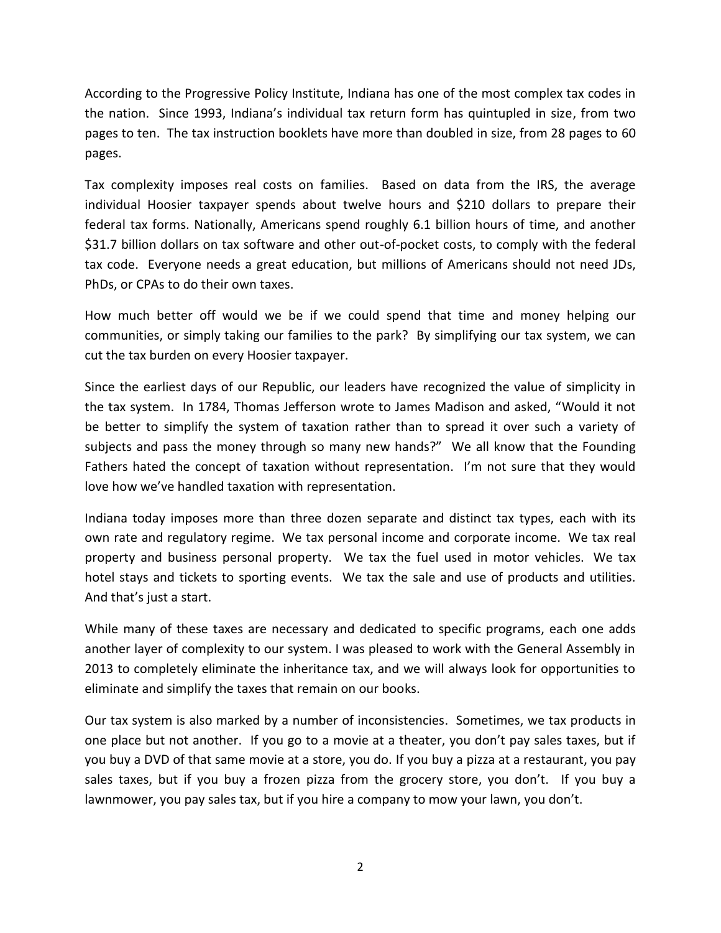According to the Progressive Policy Institute, Indiana has one of the most complex tax codes in the nation. Since 1993, Indiana's individual tax return form has quintupled in size, from two pages to ten. The tax instruction booklets have more than doubled in size, from 28 pages to 60 pages.

Tax complexity imposes real costs on families. Based on data from the IRS, the average individual Hoosier taxpayer spends about twelve hours and \$210 dollars to prepare their federal tax forms. Nationally, Americans spend roughly 6.1 billion hours of time, and another \$31.7 billion dollars on tax software and other out-of-pocket costs, to comply with the federal tax code. Everyone needs a great education, but millions of Americans should not need JDs, PhDs, or CPAs to do their own taxes.

How much better off would we be if we could spend that time and money helping our communities, or simply taking our families to the park? By simplifying our tax system, we can cut the tax burden on every Hoosier taxpayer.

Since the earliest days of our Republic, our leaders have recognized the value of simplicity in the tax system. In 1784, Thomas Jefferson wrote to James Madison and asked, "Would it not be better to simplify the system of taxation rather than to spread it over such a variety of subjects and pass the money through so many new hands?" We all know that the Founding Fathers hated the concept of taxation without representation. I'm not sure that they would love how we've handled taxation with representation.

Indiana today imposes more than three dozen separate and distinct tax types, each with its own rate and regulatory regime. We tax personal income and corporate income. We tax real property and business personal property. We tax the fuel used in motor vehicles. We tax hotel stays and tickets to sporting events. We tax the sale and use of products and utilities. And that's just a start.

While many of these taxes are necessary and dedicated to specific programs, each one adds another layer of complexity to our system. I was pleased to work with the General Assembly in 2013 to completely eliminate the inheritance tax, and we will always look for opportunities to eliminate and simplify the taxes that remain on our books.

Our tax system is also marked by a number of inconsistencies. Sometimes, we tax products in one place but not another. If you go to a movie at a theater, you don't pay sales taxes, but if you buy a DVD of that same movie at a store, you do. If you buy a pizza at a restaurant, you pay sales taxes, but if you buy a frozen pizza from the grocery store, you don't. If you buy a lawnmower, you pay sales tax, but if you hire a company to mow your lawn, you don't.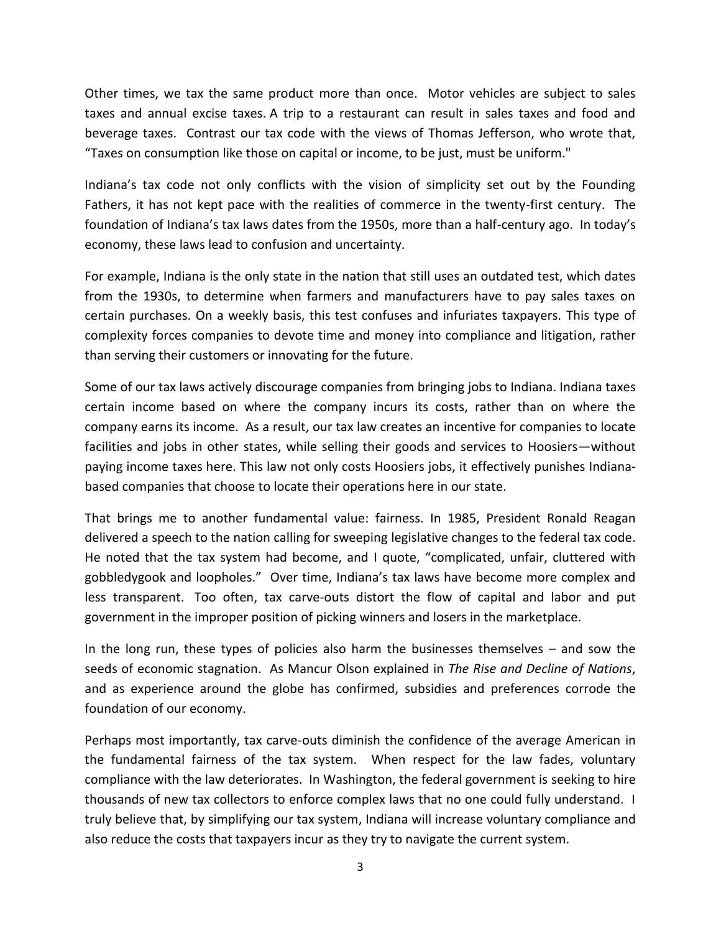Other times, we tax the same product more than once. Motor vehicles are subject to sales taxes and annual excise taxes. A trip to a restaurant can result in sales taxes and food and beverage taxes. Contrast our tax code with the views of Thomas Jefferson, who wrote that, "Taxes on consumption like those on capital or income, to be just, must be uniform."

Indiana's tax code not only conflicts with the vision of simplicity set out by the Founding Fathers, it has not kept pace with the realities of commerce in the twenty-first century. The foundation of Indiana's tax laws dates from the 1950s, more than a half-century ago. In today's economy, these laws lead to confusion and uncertainty.

For example, Indiana is the only state in the nation that still uses an outdated test, which dates from the 1930s, to determine when farmers and manufacturers have to pay sales taxes on certain purchases. On a weekly basis, this test confuses and infuriates taxpayers. This type of complexity forces companies to devote time and money into compliance and litigation, rather than serving their customers or innovating for the future.

Some of our tax laws actively discourage companies from bringing jobs to Indiana. Indiana taxes certain income based on where the company incurs its costs, rather than on where the company earns its income. As a result, our tax law creates an incentive for companies to locate facilities and jobs in other states, while selling their goods and services to Hoosiers—without paying income taxes here. This law not only costs Hoosiers jobs, it effectively punishes Indianabased companies that choose to locate their operations here in our state.

That brings me to another fundamental value: fairness. In 1985, President Ronald Reagan delivered a speech to the nation calling for sweeping legislative changes to the federal tax code. He noted that the tax system had become, and I quote, "complicated, unfair, cluttered with gobbledygook and loopholes." Over time, Indiana's tax laws have become more complex and less transparent. Too often, tax carve-outs distort the flow of capital and labor and put government in the improper position of picking winners and losers in the marketplace.

In the long run, these types of policies also harm the businesses themselves – and sow the seeds of economic stagnation. As Mancur Olson explained in *The Rise and Decline of Nations*, and as experience around the globe has confirmed, subsidies and preferences corrode the foundation of our economy.

Perhaps most importantly, tax carve-outs diminish the confidence of the average American in the fundamental fairness of the tax system. When respect for the law fades, voluntary compliance with the law deteriorates. In Washington, the federal government is seeking to hire thousands of new tax collectors to enforce complex laws that no one could fully understand. I truly believe that, by simplifying our tax system, Indiana will increase voluntary compliance and also reduce the costs that taxpayers incur as they try to navigate the current system.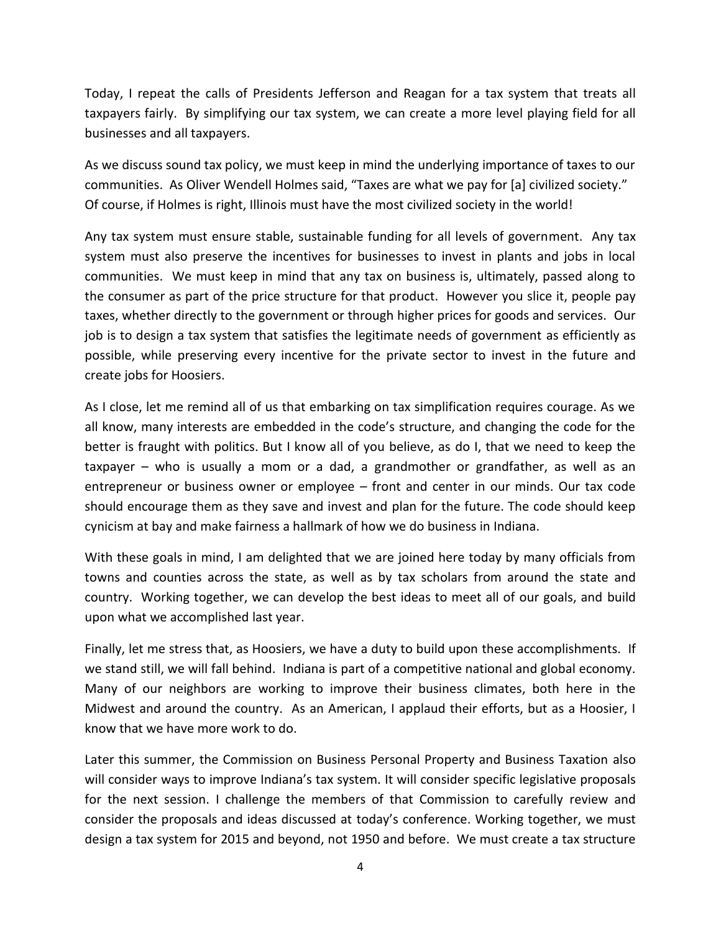Today, I repeat the calls of Presidents Jefferson and Reagan for a tax system that treats all taxpayers fairly. By simplifying our tax system, we can create a more level playing field for all businesses and all taxpayers.

As we discuss sound tax policy, we must keep in mind the underlying importance of taxes to our communities. As Oliver Wendell Holmes said, "Taxes are what we pay for [a] civilized society." Of course, if Holmes is right, Illinois must have the most civilized society in the world!

Any tax system must ensure stable, sustainable funding for all levels of government. Any tax system must also preserve the incentives for businesses to invest in plants and jobs in local communities. We must keep in mind that any tax on business is, ultimately, passed along to the consumer as part of the price structure for that product. However you slice it, people pay taxes, whether directly to the government or through higher prices for goods and services. Our job is to design a tax system that satisfies the legitimate needs of government as efficiently as possible, while preserving every incentive for the private sector to invest in the future and create jobs for Hoosiers.

As I close, let me remind all of us that embarking on tax simplification requires courage. As we all know, many interests are embedded in the code's structure, and changing the code for the better is fraught with politics. But I know all of you believe, as do I, that we need to keep the taxpayer – who is usually a mom or a dad, a grandmother or grandfather, as well as an entrepreneur or business owner or employee – front and center in our minds. Our tax code should encourage them as they save and invest and plan for the future. The code should keep cynicism at bay and make fairness a hallmark of how we do business in Indiana.

With these goals in mind, I am delighted that we are joined here today by many officials from towns and counties across the state, as well as by tax scholars from around the state and country. Working together, we can develop the best ideas to meet all of our goals, and build upon what we accomplished last year.

Finally, let me stress that, as Hoosiers, we have a duty to build upon these accomplishments. If we stand still, we will fall behind. Indiana is part of a competitive national and global economy. Many of our neighbors are working to improve their business climates, both here in the Midwest and around the country. As an American, I applaud their efforts, but as a Hoosier, I know that we have more work to do.

Later this summer, the Commission on Business Personal Property and Business Taxation also will consider ways to improve Indiana's tax system. It will consider specific legislative proposals for the next session. I challenge the members of that Commission to carefully review and consider the proposals and ideas discussed at today's conference. Working together, we must design a tax system for 2015 and beyond, not 1950 and before. We must create a tax structure